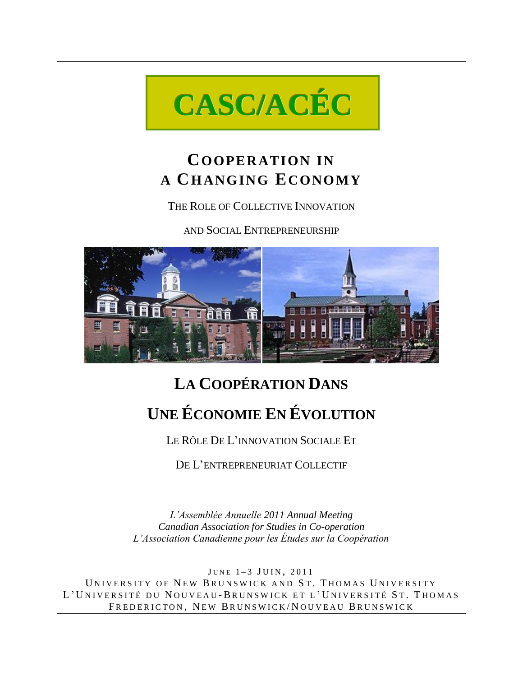

# **COOPER ATION IN A CH ANG ING ECONO MY**

THE ROLE OF COLLECTIVE INNOVATION

AND SOCIAL ENTREPRENEURSHIP



# **LA COOPÉRATION DANS UNE ÉCONOMIE EN ÉVOLUTION**

LE RÔLE DE L'INNOVATION SOCIALE ET

DE L'ENTREPRENEURIAT COLLECTIF

*L'Assemblée Annuelle 2011 Annual Meeting Canadian Association for Studies in Co-operation L'Association Canadienne pour les Études sur la Coopération*

JUNE  $1-3$  JUIN, 2011 UNIVERSITY OF NEW BRUNSWICK AND ST. THOMAS UNIVERSITY L' UNIVERSITÉ DU NOUVEAU-BRUNSWICK ET L' UNIVERSITÉ ST. THOMAS FREDERICTON, NEW BRUNSWICK/NOUVEAU BRUNSWICK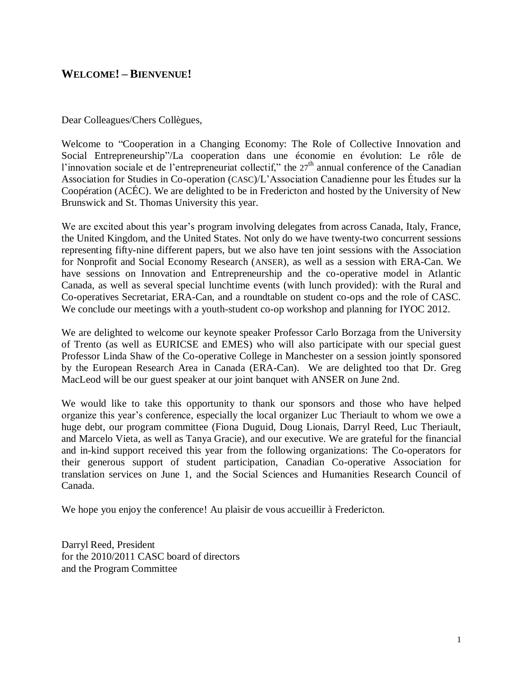## **WELCOME! – BIENVENUE!**

Dear Colleagues/Chers Collègues,

Welcome to "Cooperation in a Changing Economy: The Role of Collective Innovation and Social Entrepreneurship<sup>?</sup>/La cooperation dans une économie en évolution: Le rôle de l'innovation sociale et de l'entrepreneuriat collectif," the  $27<sup>th</sup>$  annual conference of the Canadian Association for Studies in Co-operation (CASC)/L'Association Canadienne pour les Études sur la Coopération (ACÉC). We are delighted to be in Fredericton and hosted by the University of New Brunswick and St. Thomas University this year.

We are excited about this year's program involving delegates from across Canada, Italy, France, the United Kingdom, and the United States. Not only do we have twenty-two concurrent sessions representing fifty-nine different papers, but we also have ten joint sessions with the Association for Nonprofit and Social Economy Research (ANSER), as well as a session with ERA-Can. We have sessions on Innovation and Entrepreneurship and the co-operative model in Atlantic Canada, as well as several special lunchtime events (with lunch provided): with the Rural and Co-operatives Secretariat, ERA-Can, and a roundtable on student co-ops and the role of CASC. We conclude our meetings with a youth-student co-op workshop and planning for IYOC 2012.

We are delighted to welcome our keynote speaker Professor Carlo Borzaga from the University of Trento (as well as EURICSE and EMES) who will also participate with our special guest Professor Linda Shaw of the Co-operative College in Manchester on a session jointly sponsored by the European Research Area in Canada (ERA-Can). We are delighted too that Dr. Greg MacLeod will be our guest speaker at our joint banquet with ANSER on June 2nd.

We would like to take this opportunity to thank our sponsors and those who have helped organize this year's conference, especially the local organizer Luc Theriault to whom we owe a huge debt, our program committee (Fiona Duguid, Doug Lionais, Darryl Reed, Luc Theriault, and Marcelo Vieta, as well as Tanya Gracie), and our executive. We are grateful for the financial and in-kind support received this year from the following organizations: The Co-operators for their generous support of student participation, Canadian Co-operative Association for translation services on June 1, and the Social Sciences and Humanities Research Council of Canada.

We hope you enjoy the conference! Au plaisir de vous accueillir à Fredericton.

Darryl Reed, President for the 2010/2011 CASC board of directors and the Program Committee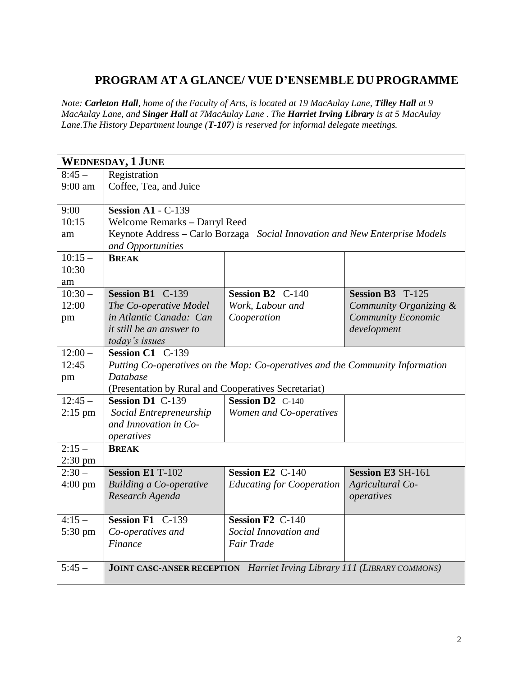# **PROGRAM AT A GLANCE/ VUE D'ENSEMBLE DU PROGRAMME**

*Note: Carleton Hall, home of the Faculty of Arts, is located at 19 MacAulay Lane, Tilley Hall at 9 MacAulay Lane, and Singer Hall at 7MacAulay Lane . The Harriet Irving Library is at 5 MacAulay Lane.The History Department lounge (T-107) is reserved for informal delegate meetings.*

|                   | <b>WEDNESDAY, 1 JUNE</b>                             |                                                                                |                          |  |  |
|-------------------|------------------------------------------------------|--------------------------------------------------------------------------------|--------------------------|--|--|
| $8:45-$           | Registration                                         |                                                                                |                          |  |  |
| $9:00$ am         | Coffee, Tea, and Juice                               |                                                                                |                          |  |  |
|                   |                                                      |                                                                                |                          |  |  |
| $9:00 -$          | Session $A1 - C-139$                                 |                                                                                |                          |  |  |
| 10:15             | Welcome Remarks - Darryl Reed                        |                                                                                |                          |  |  |
| am                |                                                      | Keynote Address - Carlo Borzaga Social Innovation and New Enterprise Models    |                          |  |  |
|                   | and Opportunities                                    |                                                                                |                          |  |  |
| $10:15-$          | <b>BREAK</b>                                         |                                                                                |                          |  |  |
| 10:30             |                                                      |                                                                                |                          |  |  |
| am                |                                                      |                                                                                |                          |  |  |
| $10:30 -$         | Session B1 C-139                                     | Session B2 C-140                                                               | Session B3 T-125         |  |  |
| 12:00             | The Co-operative Model                               | Work, Labour and                                                               | Community Organizing &   |  |  |
| pm                | in Atlantic Canada: Can                              | Cooperation                                                                    | Community Economic       |  |  |
|                   | <i>it still be an answer to</i>                      |                                                                                | development              |  |  |
|                   | today's issues                                       |                                                                                |                          |  |  |
| $12:00-$          | Session C1 C-139                                     |                                                                                |                          |  |  |
| 12:45             |                                                      | Putting Co-operatives on the Map: Co-operatives and the Community Information  |                          |  |  |
| pm                | <b>Database</b>                                      |                                                                                |                          |  |  |
|                   | (Presentation by Rural and Cooperatives Secretariat) |                                                                                |                          |  |  |
| $12:45-$          | Session D1 C-139                                     | <b>Session D2</b> C-140                                                        |                          |  |  |
| $2:15$ pm         | Social Entrepreneurship                              | Women and Co-operatives                                                        |                          |  |  |
|                   | and Innovation in Co-                                |                                                                                |                          |  |  |
|                   | operatives                                           |                                                                                |                          |  |  |
| $2:15-$           | <b>BREAK</b>                                         |                                                                                |                          |  |  |
| $2:30$ pm         |                                                      |                                                                                |                          |  |  |
| $2:30-$           | <b>Session E1 T-102</b>                              | <b>Session E2 C-140</b>                                                        | <b>Session E3 SH-161</b> |  |  |
| $4:00 \text{ pm}$ | <b>Building a Co-operative</b>                       | <b>Educating for Cooperation</b>                                               | Agricultural Co-         |  |  |
|                   | Research Agenda                                      |                                                                                | operatives               |  |  |
|                   |                                                      |                                                                                |                          |  |  |
| $4:15-$           | Session F1 C-139                                     | Session F <sub>2</sub> C-140                                                   |                          |  |  |
| 5:30 pm           | Co-operatives and                                    | Social Innovation and                                                          |                          |  |  |
|                   | Finance                                              | Fair Trade                                                                     |                          |  |  |
|                   |                                                      |                                                                                |                          |  |  |
| $5:45-$           |                                                      | <b>JOINT CASC-ANSER RECEPTION</b> Harriet Irving Library 111 (LIBRARY COMMONS) |                          |  |  |
|                   |                                                      |                                                                                |                          |  |  |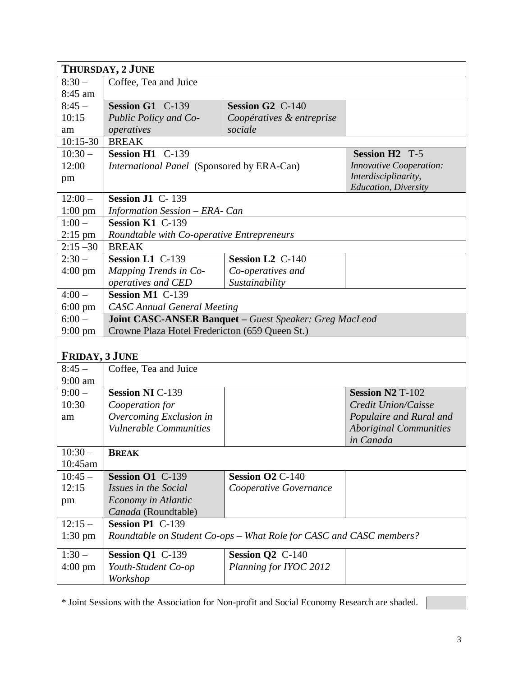|                   | THURSDAY, 2 JUNE                               |                                                                     |                                |  |  |
|-------------------|------------------------------------------------|---------------------------------------------------------------------|--------------------------------|--|--|
| $8:30-$           | Coffee, Tea and Juice                          |                                                                     |                                |  |  |
| 8:45 am           |                                                |                                                                     |                                |  |  |
| $8:45-$           | Session G1 C-139                               | Session G <sub>2</sub> C-140                                        |                                |  |  |
| 10:15             | Public Policy and Co-                          | Coopératives & entreprise                                           |                                |  |  |
| am                | operatives                                     | sociale                                                             |                                |  |  |
| $10:15-30$        | <b>BREAK</b>                                   |                                                                     |                                |  |  |
| $10:30 -$         | Session H1 C-139                               |                                                                     | <b>Session H2 T-5</b>          |  |  |
| 12:00             | International Panel (Sponsored by ERA-Can)     |                                                                     | <b>Innovative Cooperation:</b> |  |  |
| pm                |                                                |                                                                     | Interdisciplinarity,           |  |  |
|                   |                                                |                                                                     | <b>Education</b> , Diversity   |  |  |
| $12:00-$          | Session J1 C-139                               |                                                                     |                                |  |  |
| $1:00$ pm         | Information Session - ERA- Can                 |                                                                     |                                |  |  |
| $1:00 -$          | Session K1 C-139                               |                                                                     |                                |  |  |
| $2:15$ pm         | Roundtable with Co-operative Entrepreneurs     |                                                                     |                                |  |  |
| $2:15 - 30$       | <b>BREAK</b>                                   |                                                                     |                                |  |  |
| $2:30-$           | Session L1 C-139                               | Session L <sub>2</sub> C-140                                        |                                |  |  |
| $4:00 \text{ pm}$ | Mapping Trends in Co-                          | Co-operatives and                                                   |                                |  |  |
|                   | operatives and CED                             | Sustainability                                                      |                                |  |  |
| $4:00-$           | <b>Session M1 C-139</b>                        |                                                                     |                                |  |  |
| $6:00 \text{ pm}$ | <b>CASC Annual General Meeting</b>             |                                                                     |                                |  |  |
| $6:00 -$          |                                                | Joint CASC-ANSER Banquet - Guest Speaker: Greg MacLeod              |                                |  |  |
| $9:00 \text{ pm}$ | Crowne Plaza Hotel Fredericton (659 Queen St.) |                                                                     |                                |  |  |
|                   |                                                |                                                                     |                                |  |  |
| FRIDAY, 3 JUNE    |                                                |                                                                     |                                |  |  |
| $8:45-$           | Coffee, Tea and Juice                          |                                                                     |                                |  |  |
| $9:00$ am         |                                                |                                                                     |                                |  |  |
| $9:00 -$          | <b>Session NI C-139</b>                        |                                                                     | <b>Session N2 T-102</b>        |  |  |
| 10:30             | Cooperation for                                |                                                                     | Credit Union/Caisse            |  |  |
| am                | Overcoming Exclusion in                        |                                                                     | Populaire and Rural and        |  |  |
|                   | Vulnerable Communities                         |                                                                     | <b>Aboriginal Communities</b>  |  |  |
|                   |                                                |                                                                     | in Canada                      |  |  |
| $10:30 -$         | <b>BREAK</b>                                   |                                                                     |                                |  |  |
| 10:45am           |                                                |                                                                     |                                |  |  |
| $10:45 -$         | <b>Session O1 C-139</b>                        | Session O2 C-140                                                    |                                |  |  |
| 12:15             | Issues in the Social                           | Cooperative Governance                                              |                                |  |  |
| pm                | Economy in Atlantic                            |                                                                     |                                |  |  |
|                   | Canada (Roundtable)                            |                                                                     |                                |  |  |
| $12:15-$          | Session P1 C-139                               |                                                                     |                                |  |  |
| $1:30 \text{ pm}$ |                                                | Roundtable on Student Co-ops - What Role for CASC and CASC members? |                                |  |  |
| $1:30-$           | Session Q1 C-139                               | Session Q2 C-140                                                    |                                |  |  |
| $4:00 \text{ pm}$ | Youth-Student Co-op                            | Planning for IYOC 2012                                              |                                |  |  |
|                   | Workshop                                       |                                                                     |                                |  |  |

\* Joint Sessions with the Association for Non-profit and Social Economy Research are shaded.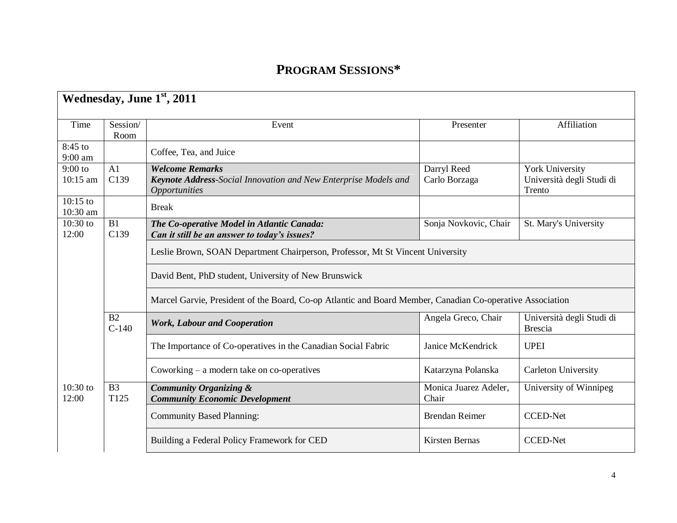# **PROGRAM SESSIONS\***

|                        | Wednesday, June 1st, 2011 |                                                                                                                   |                                |                                                        |  |
|------------------------|---------------------------|-------------------------------------------------------------------------------------------------------------------|--------------------------------|--------------------------------------------------------|--|
| Time                   | Session/<br>Room          | Event                                                                                                             | Presenter                      | Affiliation                                            |  |
| 8:45 to<br>9:00 am     |                           | Coffee, Tea, and Juice                                                                                            |                                |                                                        |  |
| $9:00$ to<br>10:15 am  | A1<br>C139                | <b>Welcome Remarks</b><br>Keynote Address-Social Innovation and New Enterprise Models and<br><b>Opportunities</b> | Darryl Reed<br>Carlo Borzaga   | York University<br>Università degli Studi di<br>Trento |  |
| $10:15$ to<br>10:30 am |                           | <b>Break</b>                                                                                                      |                                |                                                        |  |
| 10:30 to<br>12:00      | B1<br>C139                | The Co-operative Model in Atlantic Canada:<br>Can it still be an answer to today's issues?                        | Sonja Novkovic, Chair          | St. Mary's University                                  |  |
|                        |                           | Leslie Brown, SOAN Department Chairperson, Professor, Mt St Vincent University                                    |                                |                                                        |  |
|                        |                           | David Bent, PhD student, University of New Brunswick                                                              |                                |                                                        |  |
|                        |                           | Marcel Garvie, President of the Board, Co-op Atlantic and Board Member, Canadian Co-operative Association         |                                |                                                        |  |
|                        | B2<br>$C-140$             | <b>Work, Labour and Cooperation</b>                                                                               | Angela Greco, Chair            | Università degli Studi di<br><b>Brescia</b>            |  |
|                        |                           | The Importance of Co-operatives in the Canadian Social Fabric                                                     | Janice McKendrick              | <b>UPEI</b>                                            |  |
|                        |                           | Coworking $-$ a modern take on co-operatives                                                                      | Katarzyna Polanska             | <b>Carleton University</b>                             |  |
| $10:30$ to<br>12:00    | B <sub>3</sub><br>T125    | <b>Community Organizing &amp;</b><br><b>Community Economic Development</b>                                        | Monica Juarez Adeler,<br>Chair | University of Winnipeg                                 |  |
|                        |                           | <b>Community Based Planning:</b>                                                                                  | <b>Brendan Reimer</b>          | <b>CCED-Net</b>                                        |  |
|                        |                           | Building a Federal Policy Framework for CED                                                                       | Kirsten Bernas                 | <b>CCED-Net</b>                                        |  |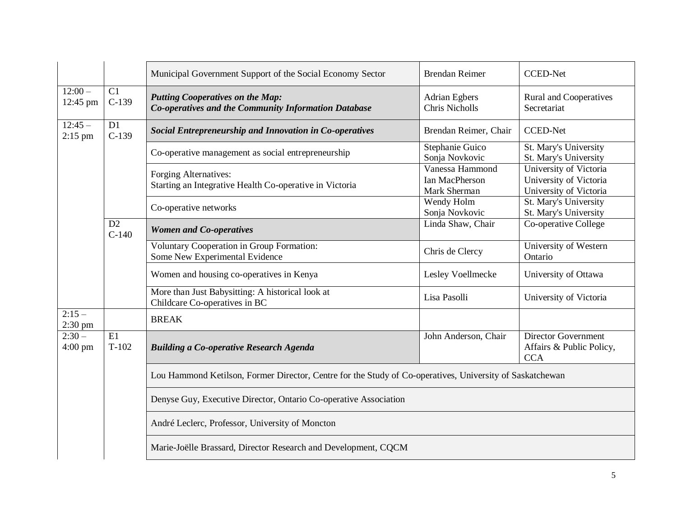|                       |               | Municipal Government Support of the Social Economy Sector                                                | <b>Brendan Reimer</b>                             | <b>CCED-Net</b>                                                            |
|-----------------------|---------------|----------------------------------------------------------------------------------------------------------|---------------------------------------------------|----------------------------------------------------------------------------|
| $12:00-$<br>12:45 pm  | C1<br>$C-139$ | <b>Putting Cooperatives on the Map:</b><br>Co-operatives and the Community Information Database          | <b>Adrian Egbers</b><br><b>Chris Nicholls</b>     | Rural and Cooperatives<br>Secretariat                                      |
| $12:45-$<br>$2:15$ pm | D1<br>$C-139$ | Social Entrepreneurship and Innovation in Co-operatives                                                  | Brendan Reimer, Chair                             | <b>CCED-Net</b>                                                            |
|                       |               | Co-operative management as social entrepreneurship                                                       | Stephanie Guico<br>Sonja Novkovic                 | St. Mary's University<br>St. Mary's University                             |
|                       |               | Forging Alternatives:<br>Starting an Integrative Health Co-operative in Victoria                         | Vanessa Hammond<br>Ian MacPherson<br>Mark Sherman | University of Victoria<br>University of Victoria<br>University of Victoria |
|                       |               | Co-operative networks                                                                                    | Wendy Holm<br>Sonja Novkovic                      | St. Mary's University<br>St. Mary's University                             |
|                       | D2<br>$C-140$ | <b>Women and Co-operatives</b>                                                                           | Linda Shaw, Chair                                 | Co-operative College                                                       |
|                       |               | Voluntary Cooperation in Group Formation:<br>Some New Experimental Evidence                              | Chris de Clercy                                   | University of Western<br>Ontario                                           |
|                       |               | Women and housing co-operatives in Kenya                                                                 | Lesley Voellmecke                                 | University of Ottawa                                                       |
|                       |               | More than Just Babysitting: A historical look at<br>Childcare Co-operatives in BC                        | Lisa Pasolli                                      | University of Victoria                                                     |
| $2:15-$<br>2:30 pm    |               | <b>BREAK</b>                                                                                             |                                                   |                                                                            |
| $2:30-$<br>$4:00$ pm  | E1<br>$T-102$ | <b>Building a Co-operative Research Agenda</b>                                                           | John Anderson, Chair                              | <b>Director Government</b><br>Affairs & Public Policy,<br><b>CCA</b>       |
|                       |               | Lou Hammond Ketilson, Former Director, Centre for the Study of Co-operatives, University of Saskatchewan |                                                   |                                                                            |
|                       |               | Denyse Guy, Executive Director, Ontario Co-operative Association                                         |                                                   |                                                                            |
|                       |               | André Leclerc, Professor, University of Moncton                                                          |                                                   |                                                                            |
|                       |               | Marie-Joëlle Brassard, Director Research and Development, CQCM                                           |                                                   |                                                                            |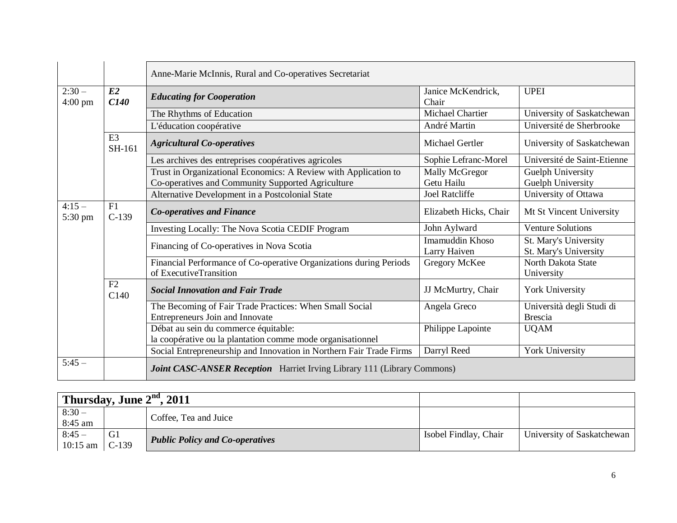|                              |                          | Anne-Marie McInnis, Rural and Co-operatives Secretariat                                                              |                                 |                                                |
|------------------------------|--------------------------|----------------------------------------------------------------------------------------------------------------------|---------------------------------|------------------------------------------------|
| $2:30-$<br>$4:00 \text{ pm}$ | E2<br>C140               | <b>Educating for Cooperation</b>                                                                                     | Janice McKendrick,<br>Chair     | <b>UPEI</b>                                    |
|                              |                          | The Rhythms of Education                                                                                             | <b>Michael Chartier</b>         | University of Saskatchewan                     |
|                              |                          | L'éducation coopérative                                                                                              | André Martin                    | Université de Sherbrooke                       |
|                              | E <sub>3</sub><br>SH-161 | <b>Agricultural Co-operatives</b>                                                                                    | Michael Gertler                 | University of Saskatchewan                     |
|                              |                          | Les archives des entreprises coopératives agricoles                                                                  | Sophie Lefranc-Morel            | Université de Saint-Etienne                    |
|                              |                          | Trust in Organizational Economics: A Review with Application to<br>Co-operatives and Community Supported Agriculture | Mally McGregor<br>Getu Hailu    | Guelph University<br><b>Guelph University</b>  |
|                              |                          | Alternative Development in a Postcolonial State                                                                      | <b>Joel Ratcliffe</b>           | University of Ottawa                           |
| $4:15-$<br>5:30 pm           | F1<br>$C-139$            | <b>Co-operatives and Finance</b>                                                                                     | Elizabeth Hicks, Chair          | Mt St Vincent University                       |
|                              |                          | Investing Locally: The Nova Scotia CEDIF Program                                                                     | John Aylward                    | <b>Venture Solutions</b>                       |
|                              |                          | Financing of Co-operatives in Nova Scotia                                                                            | Imamuddin Khoso<br>Larry Haiven | St. Mary's University<br>St. Mary's University |
|                              |                          | Financial Performance of Co-operative Organizations during Periods<br>of ExecutiveTransition                         | Gregory McKee                   | North Dakota State<br>University               |
|                              | F2<br>C140               | <b>Social Innovation and Fair Trade</b>                                                                              | JJ McMurtry, Chair              | York University                                |
|                              |                          | The Becoming of Fair Trade Practices: When Small Social<br>Entrepreneurs Join and Innovate                           | Angela Greco                    | Università degli Studi di<br><b>Brescia</b>    |
|                              |                          | Débat au sein du commerce équitable:<br>la coopérative ou la plantation comme mode organisationnel                   | Philippe Lapointe               | <b>UQAM</b>                                    |
|                              |                          | Social Entrepreneurship and Innovation in Northern Fair Trade Firms                                                  | Darryl Reed                     | York University                                |
| $5:45-$                      |                          | <b>Joint CASC-ANSER Reception</b> Harriet Irving Library 111 (Library Commons)                                       |                                 |                                                |

| Thursday, June $2nd$ , 2011 |               |                                        |                       |                            |
|-----------------------------|---------------|----------------------------------------|-----------------------|----------------------------|
| $8:30-$<br>8:45 am          |               | Coffee, Tea and Juice                  |                       |                            |
| $8:45-$<br>$10:15$ am       | G1<br>$C-139$ | <b>Public Policy and Co-operatives</b> | Isobel Findlay, Chair | University of Saskatchewan |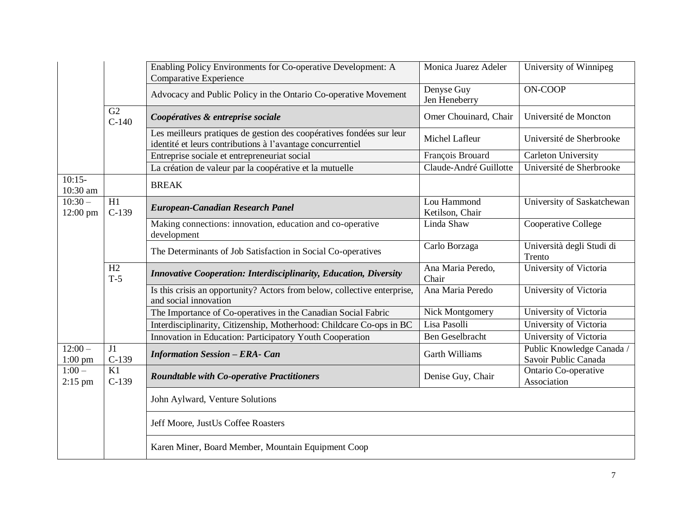|                        |               | Enabling Policy Environments for Co-operative Development: A<br><b>Comparative Experience</b>                                      | Monica Juarez Adeler           | University of Winnipeg                            |
|------------------------|---------------|------------------------------------------------------------------------------------------------------------------------------------|--------------------------------|---------------------------------------------------|
|                        |               | Advocacy and Public Policy in the Ontario Co-operative Movement                                                                    | Denyse Guy<br>Jen Heneberry    | ON-COOP                                           |
|                        | G2<br>$C-140$ | Coopératives & entreprise sociale                                                                                                  | Omer Chouinard, Chair          | Université de Moncton                             |
|                        |               | Les meilleurs pratiques de gestion des coopératives fondées sur leur<br>identité et leurs contributions à l'avantage concurrentiel | Michel Lafleur                 | Université de Sherbrooke                          |
|                        |               | Entreprise sociale et entrepreneuriat social                                                                                       | François Brouard               | <b>Carleton University</b>                        |
|                        |               | La création de valeur par la coopérative et la mutuelle                                                                            | Claude-André Guillotte         | Université de Sherbrooke                          |
| $10:15-$<br>10:30 am   |               | <b>BREAK</b>                                                                                                                       |                                |                                                   |
| $10:30-$<br>12:00 pm   | H1<br>$C-139$ | <b>European-Canadian Research Panel</b>                                                                                            | Lou Hammond<br>Ketilson, Chair | University of Saskatchewan                        |
|                        |               | Making connections: innovation, education and co-operative<br>development                                                          | Linda Shaw                     | Cooperative College                               |
|                        |               | The Determinants of Job Satisfaction in Social Co-operatives                                                                       | Carlo Borzaga                  | Università degli Studi di<br>Trento               |
|                        | H2<br>$T-5$   | <b>Innovative Cooperation: Interdisciplinarity, Education, Diversity</b>                                                           | Ana Maria Peredo,<br>Chair     | University of Victoria                            |
|                        |               | Is this crisis an opportunity? Actors from below, collective enterprise,<br>and social innovation                                  | Ana Maria Peredo               | University of Victoria                            |
|                        |               | The Importance of Co-operatives in the Canadian Social Fabric                                                                      | Nick Montgomery                | University of Victoria                            |
|                        |               | Interdisciplinarity, Citizenship, Motherhood: Childcare Co-ops in BC                                                               | Lisa Pasolli                   | University of Victoria                            |
|                        |               | Innovation in Education: Participatory Youth Cooperation                                                                           | <b>Ben Geselbracht</b>         | University of Victoria                            |
| $12:00 -$<br>$1:00$ pm | J1<br>$C-139$ | <b>Information Session - ERA- Can</b>                                                                                              | <b>Garth Williams</b>          | Public Knowledge Canada /<br>Savoir Public Canada |
| $1:00 -$<br>$2:15$ pm  | K1<br>$C-139$ | <b>Roundtable with Co-operative Practitioners</b>                                                                                  | Denise Guy, Chair              | Ontario Co-operative<br>Association               |
|                        |               | John Aylward, Venture Solutions                                                                                                    |                                |                                                   |
|                        |               | Jeff Moore, JustUs Coffee Roasters                                                                                                 |                                |                                                   |
|                        |               | Karen Miner, Board Member, Mountain Equipment Coop                                                                                 |                                |                                                   |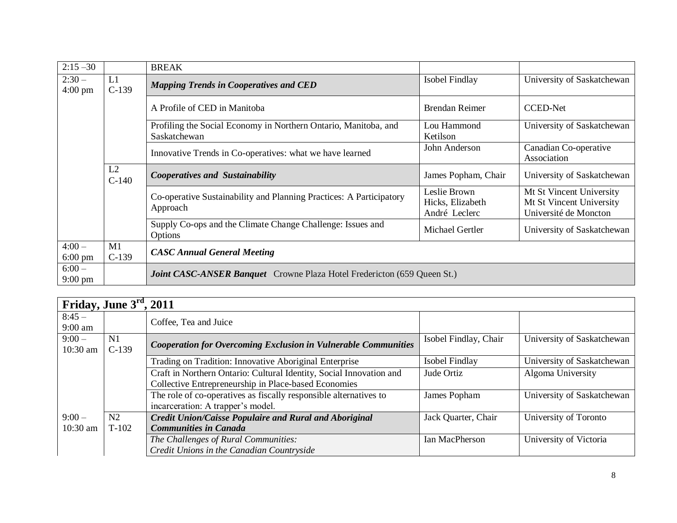| $2:15 - 30$                  |               | <b>BREAK</b>                                                                    |                                                   |                                                                               |
|------------------------------|---------------|---------------------------------------------------------------------------------|---------------------------------------------------|-------------------------------------------------------------------------------|
| $2:30-$<br>$4:00$ pm         | L1<br>$C-139$ | <b>Mapping Trends in Cooperatives and CED</b>                                   | Isobel Findlay                                    | University of Saskatchewan                                                    |
|                              |               | A Profile of CED in Manitoba                                                    | <b>Brendan Reimer</b>                             | <b>CCED-Net</b>                                                               |
|                              |               | Profiling the Social Economy in Northern Ontario, Manitoba, and<br>Saskatchewan | Lou Hammond<br>Ketilson                           | University of Saskatchewan                                                    |
|                              |               | Innovative Trends in Co-operatives: what we have learned                        | John Anderson                                     | Canadian Co-operative<br>Association                                          |
|                              | L2<br>$C-140$ | <b>Cooperatives and Sustainability</b>                                          | James Popham, Chair                               | University of Saskatchewan                                                    |
|                              |               | Co-operative Sustainability and Planning Practices: A Participatory<br>Approach | Leslie Brown<br>Hicks, Elizabeth<br>André Leclerc | Mt St Vincent University<br>Mt St Vincent University<br>Université de Moncton |
|                              |               | Supply Co-ops and the Climate Change Challenge: Issues and<br>Options           | Michael Gertler                                   | University of Saskatchewan                                                    |
| $4:00-$<br>$6:00 \text{ pm}$ | M1<br>$C-139$ | <b>CASC Annual General Meeting</b>                                              |                                                   |                                                                               |
| $6:00-$<br>$9:00 \text{ pm}$ |               | <b>Joint CASC-ANSER Banquet</b> Crowne Plaza Hotel Fredericton (659 Queen St.)  |                                                   |                                                                               |

| Friday, June $3rd$ , 2011 |               |                                                                                                                             |                       |                            |
|---------------------------|---------------|-----------------------------------------------------------------------------------------------------------------------------|-----------------------|----------------------------|
| $8:45-$<br>$9:00$ am      |               | Coffee, Tea and Juice                                                                                                       |                       |                            |
| $9:00-$<br>10:30 am       | N1<br>$C-139$ | <b>Cooperation for Overcoming Exclusion in Vulnerable Communities</b>                                                       | Isobel Findlay, Chair | University of Saskatchewan |
|                           |               | Trading on Tradition: Innovative Aboriginal Enterprise                                                                      | Isobel Findlay        | University of Saskatchewan |
|                           |               | Craft in Northern Ontario: Cultural Identity, Social Innovation and<br>Collective Entrepreneurship in Place-based Economies | Jude Ortiz            | Algoma University          |
|                           |               | The role of co-operatives as fiscally responsible alternatives to<br>incarceration: A trapper's model.                      | James Popham          | University of Saskatchewan |
| $9:00-$<br>$10:30$ am     | N2<br>$T-102$ | <b>Credit Union/Caisse Populaire and Rural and Aboriginal</b><br><b>Communities in Canada</b>                               | Jack Quarter, Chair   | University of Toronto      |
|                           |               | The Challenges of Rural Communities:<br>Credit Unions in the Canadian Countryside                                           | Ian MacPherson        | University of Victoria     |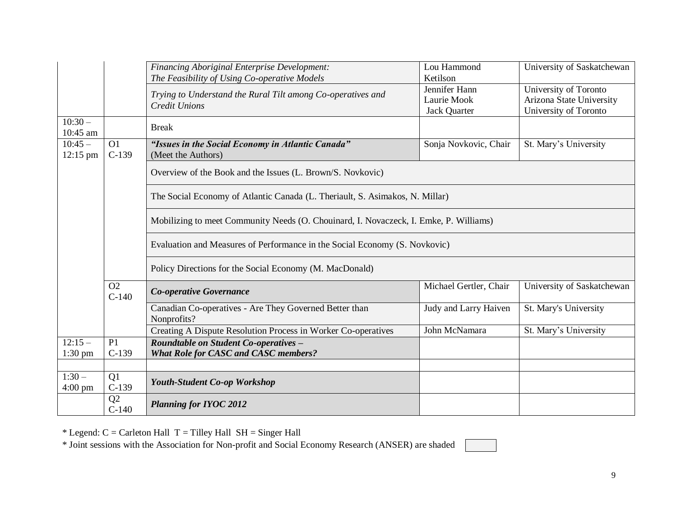|                              |                           | <b>Financing Aboriginal Enterprise Development:</b><br>The Feasibility of Using Co-operative Models | Lou Hammond<br>Ketilson                             | University of Saskatchewan                                                 |
|------------------------------|---------------------------|-----------------------------------------------------------------------------------------------------|-----------------------------------------------------|----------------------------------------------------------------------------|
|                              |                           | Trying to Understand the Rural Tilt among Co-operatives and<br><b>Credit Unions</b>                 | Jennifer Hann<br>Laurie Mook<br><b>Jack Quarter</b> | University of Toronto<br>Arizona State University<br>University of Toronto |
| $10:30-$<br>10:45 am         |                           | <b>Break</b>                                                                                        |                                                     |                                                                            |
| $10:45 -$<br>12:15 pm        | O <sub>1</sub><br>$C-139$ | "Issues in the Social Economy in Atlantic Canada"<br>(Meet the Authors)                             | Sonja Novkovic, Chair                               | St. Mary's University                                                      |
|                              |                           | Overview of the Book and the Issues (L. Brown/S. Novkovic)                                          |                                                     |                                                                            |
|                              |                           | The Social Economy of Atlantic Canada (L. Theriault, S. Asimakos, N. Millar)                        |                                                     |                                                                            |
|                              |                           | Mobilizing to meet Community Needs (O. Chouinard, I. Novaczeck, I. Emke, P. Williams)               |                                                     |                                                                            |
|                              |                           | Evaluation and Measures of Performance in the Social Economy (S. Novkovic)                          |                                                     |                                                                            |
|                              |                           | Policy Directions for the Social Economy (M. MacDonald)                                             |                                                     |                                                                            |
|                              | O <sub>2</sub><br>$C-140$ | Co-operative Governance                                                                             | Michael Gertler, Chair                              | University of Saskatchewan                                                 |
|                              |                           | Canadian Co-operatives - Are They Governed Better than<br>Nonprofits?                               | Judy and Larry Haiven                               | St. Mary's University                                                      |
|                              |                           | Creating A Dispute Resolution Process in Worker Co-operatives                                       | John McNamara                                       | St. Mary's University                                                      |
| $12:15-$<br>$1:30$ pm        | P <sub>1</sub><br>$C-139$ | Roundtable on Student Co-operatives -<br><b>What Role for CASC and CASC members?</b>                |                                                     |                                                                            |
|                              |                           |                                                                                                     |                                                     |                                                                            |
| $1:30-$<br>$4:00 \text{ pm}$ | Q1<br>$C-139$             | <b>Youth-Student Co-op Workshop</b>                                                                 |                                                     |                                                                            |
|                              | Q2<br>$C-140$             | <b>Planning for IYOC 2012</b>                                                                       |                                                     |                                                                            |

 $*$  Legend:  $C =$  Carleton Hall  $T =$  Tilley Hall  $SH =$  Singer Hall

\* Joint sessions with the Association for Non-profit and Social Economy Research (ANSER) are shaded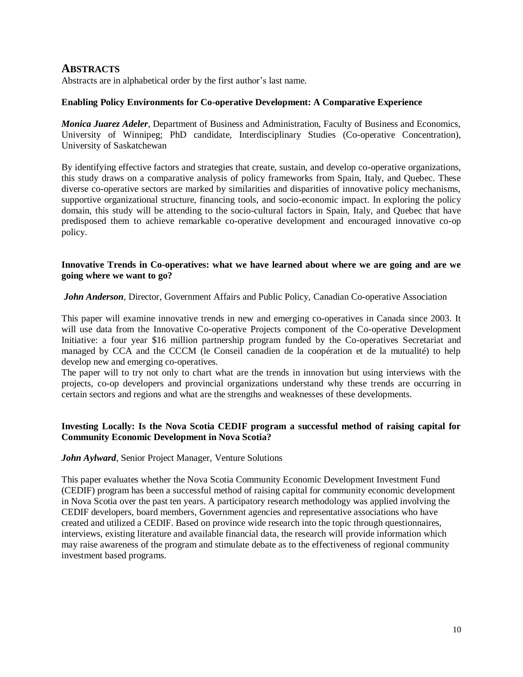## **ABSTRACTS**

Abstracts are in alphabetical order by the first author's last name.

#### **Enabling Policy Environments for Co-operative Development: A Comparative Experience**

*Monica Juarez Adeler*, Department of Business and Administration, Faculty of Business and Economics, University of Winnipeg; PhD candidate, Interdisciplinary Studies (Co-operative Concentration), University of Saskatchewan

By identifying effective factors and strategies that create, sustain, and develop co-operative organizations, this study draws on a comparative analysis of policy frameworks from Spain, Italy, and Quebec. These diverse co-operative sectors are marked by similarities and disparities of innovative policy mechanisms, supportive organizational structure, financing tools, and socio-economic impact. In exploring the policy domain, this study will be attending to the socio-cultural factors in Spain, Italy, and Quebec that have predisposed them to achieve remarkable co-operative development and encouraged innovative co-op policy.

#### **Innovative Trends in Co-operatives: what we have learned about where we are going and are we going where we want to go?**

*John Anderson*, Director, Government Affairs and Public Policy, Canadian Co-operative Association

This paper will examine innovative trends in new and emerging co-operatives in Canada since 2003. It will use data from the Innovative Co-operative Projects component of the Co-operative Development Initiative: a four year \$16 million partnership program funded by the Co-operatives Secretariat and managed by CCA and the CCCM (le Conseil canadien de la coopération et de la mutualité) to help develop new and emerging co-operatives.

The paper will to try not only to chart what are the trends in innovation but using interviews with the projects, co-op developers and provincial organizations understand why these trends are occurring in certain sectors and regions and what are the strengths and weaknesses of these developments.

#### **Investing Locally: Is the Nova Scotia CEDIF program a successful method of raising capital for Community Economic Development in Nova Scotia?**

*John Aylward,* Senior Project Manager, Venture Solutions

This paper evaluates whether the Nova Scotia Community Economic Development Investment Fund (CEDIF) program has been a successful method of raising capital for community economic development in Nova Scotia over the past ten years. A participatory research methodology was applied involving the CEDIF developers, board members, Government agencies and representative associations who have created and utilized a CEDIF. Based on province wide research into the topic through questionnaires, interviews, existing literature and available financial data, the research will provide information which may raise awareness of the program and stimulate debate as to the effectiveness of regional community investment based programs.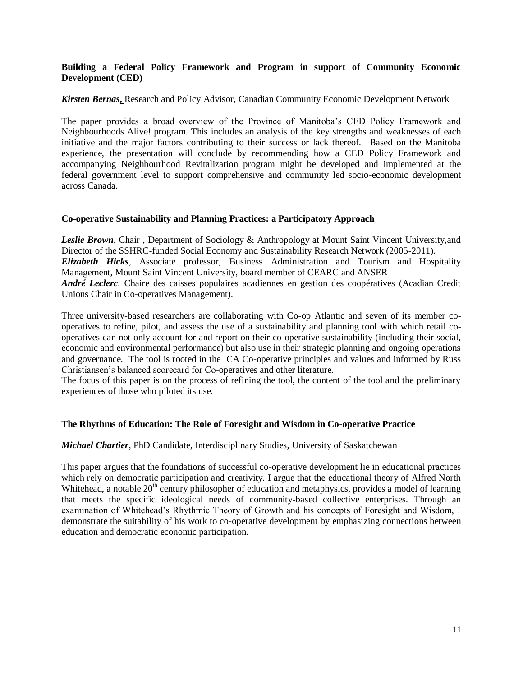#### **Building a Federal Policy Framework and Program in support of Community Economic Development (CED)**

#### *Kirsten Bernas***,** Research and Policy Advisor, Canadian Community Economic Development Network

The paper provides a broad overview of the Province of Manitoba's CED Policy Framework and Neighbourhoods Alive! program. This includes an analysis of the key strengths and weaknesses of each initiative and the major factors contributing to their success or lack thereof. Based on the Manitoba experience, the presentation will conclude by recommending how a CED Policy Framework and accompanying Neighbourhood Revitalization program might be developed and implemented at the federal government level to support comprehensive and community led socio-economic development across Canada.

#### **Co-operative Sustainability and Planning Practices: a Participatory Approach**

Leslie Brown, Chair, Department of Sociology & Anthropology at Mount Saint Vincent University, and Director of the SSHRC-funded Social Economy and Sustainability Research Network (2005-2011). *Elizabeth Hicks,* Associate professor, Business Administration and Tourism and Hospitality Management, Mount Saint Vincent University, board member of CEARC and ANSER *André Leclerc,* Chaire des caisses populaires acadiennes en gestion des coopératives (Acadian Credit Unions Chair in Co-operatives Management).

Three university-based researchers are collaborating with Co-op Atlantic and seven of its member cooperatives to refine, pilot, and assess the use of a sustainability and planning tool with which retail cooperatives can not only account for and report on their co-operative sustainability (including their social, economic and environmental performance) but also use in their strategic planning and ongoing operations and governance. The tool is rooted in the ICA Co-operative principles and values and informed by Russ Christiansen's balanced scorecard for Co-operatives and other literature.

The focus of this paper is on the process of refining the tool, the content of the tool and the preliminary experiences of those who piloted its use.

#### **The Rhythms of Education: The Role of Foresight and Wisdom in Co-operative Practice**

#### *Michael Chartier*, PhD Candidate, Interdisciplinary Studies, University of Saskatchewan

This paper argues that the foundations of successful co-operative development lie in educational practices which rely on democratic participation and creativity. I argue that the educational theory of Alfred North Whitehead, a notable 20<sup>th</sup> century philosopher of education and metaphysics, provides a model of learning that meets the specific ideological needs of community-based collective enterprises. Through an examination of Whitehead's Rhythmic Theory of Growth and his concepts of Foresight and Wisdom, I demonstrate the suitability of his work to co-operative development by emphasizing connections between education and democratic economic participation.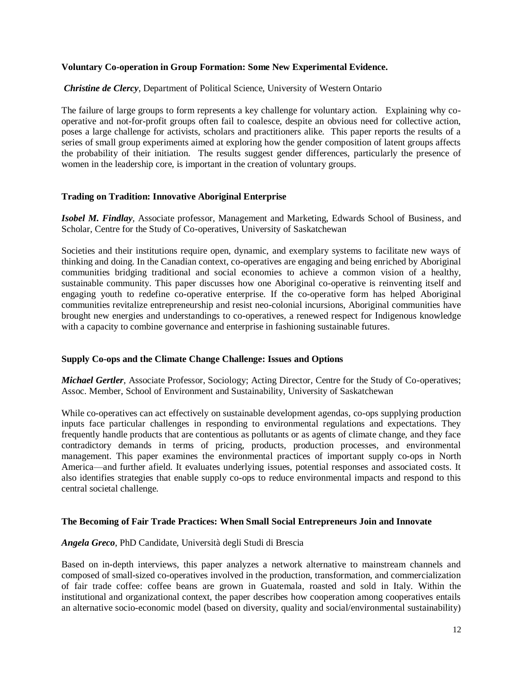#### **Voluntary Co-operation in Group Formation: Some New Experimental Evidence.**

#### *Christine de Clercy*, Department of Political Science, University of Western Ontario

The failure of large groups to form represents a key challenge for voluntary action. Explaining why cooperative and not-for-profit groups often fail to coalesce, despite an obvious need for collective action, poses a large challenge for activists, scholars and practitioners alike. This paper reports the results of a series of small group experiments aimed at exploring how the gender composition of latent groups affects the probability of their initiation. The results suggest gender differences, particularly the presence of women in the leadership core, is important in the creation of voluntary groups.

#### **Trading on Tradition: Innovative Aboriginal Enterprise**

*Isobel M. Findlay*, Associate professor, Management and Marketing, Edwards School of Business, and Scholar, Centre for the Study of Co-operatives, University of Saskatchewan

Societies and their institutions require open, dynamic, and exemplary systems to facilitate new ways of thinking and doing. In the Canadian context, co-operatives are engaging and being enriched by Aboriginal communities bridging traditional and social economies to achieve a common vision of a healthy, sustainable community. This paper discusses how one Aboriginal co-operative is reinventing itself and engaging youth to redefine co-operative enterprise. If the co-operative form has helped Aboriginal communities revitalize entrepreneurship and resist neo-colonial incursions, Aboriginal communities have brought new energies and understandings to co-operatives, a renewed respect for Indigenous knowledge with a capacity to combine governance and enterprise in fashioning sustainable futures.

#### **Supply Co-ops and the Climate Change Challenge: Issues and Options**

*Michael Gertler*, Associate Professor, Sociology; Acting Director, Centre for the Study of Co-operatives; Assoc. Member, School of Environment and Sustainability, University of Saskatchewan

While co-operatives can act effectively on sustainable development agendas, co-ops supplying production inputs face particular challenges in responding to environmental regulations and expectations. They frequently handle products that are contentious as pollutants or as agents of climate change, and they face contradictory demands in terms of pricing, products, production processes, and environmental management. This paper examines the environmental practices of important supply co-ops in North America—and further afield. It evaluates underlying issues, potential responses and associated costs. It also identifies strategies that enable supply co-ops to reduce environmental impacts and respond to this central societal challenge.

#### **The Becoming of Fair Trade Practices: When Small Social Entrepreneurs Join and Innovate**

#### *Angela Greco*, PhD Candidate, Università degli Studi di Brescia

Based on in-depth interviews, this paper analyzes a network alternative to mainstream channels and composed of small-sized co-operatives involved in the production, transformation, and commercialization of fair trade coffee: coffee beans are grown in Guatemala, roasted and sold in Italy. Within the institutional and organizational context, the paper describes how cooperation among cooperatives entails an alternative socio-economic model (based on diversity, quality and social/environmental sustainability)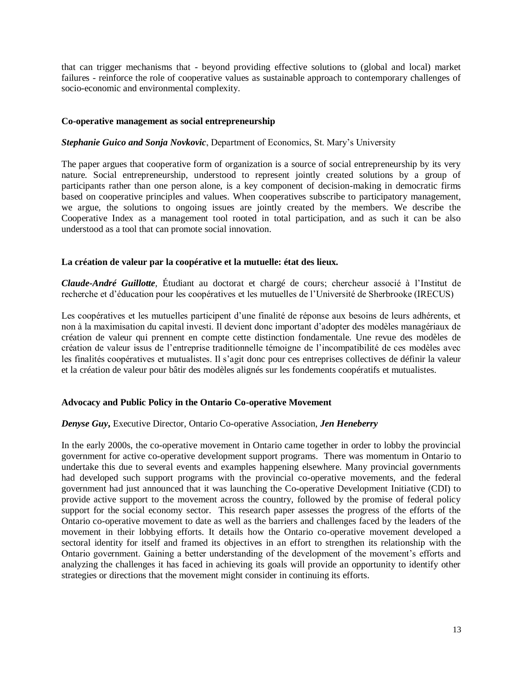that can trigger mechanisms that - beyond providing effective solutions to (global and local) market failures - reinforce the role of cooperative values as sustainable approach to contemporary challenges of socio-economic and environmental complexity.

#### **Co-operative management as social entrepreneurship**

#### *Stephanie Guico and Sonja Novkovic*, Department of Economics, St. Mary's University

The paper argues that cooperative form of organization is a source of social entrepreneurship by its very nature. Social entrepreneurship, understood to represent jointly created solutions by a group of participants rather than one person alone, is a key component of decision-making in democratic firms based on cooperative principles and values. When cooperatives subscribe to participatory management, we argue, the solutions to ongoing issues are jointly created by the members. We describe the Cooperative Index as a management tool rooted in total participation, and as such it can be also understood as a tool that can promote social innovation.

#### **La création de valeur par la coopérative et la mutuelle: état des lieux.**

*Claude-André Guillotte,* Étudiant au doctorat et chargé de cours; chercheur associé à l'Institut de recherche et d'éducation pour les coopératives et les mutuelles de l'Université de Sherbrooke (IRECUS)

Les coopératives et les mutuelles participent d'une finalité de réponse aux besoins de leurs adhérents, et non à la maximisation du capital investi. Il devient donc important d'adopter des modèles managériaux de création de valeur qui prennent en compte cette distinction fondamentale. Une revue des modèles de création de valeur issus de l'entreprise traditionnelle témoigne de l'incompatibilité de ces modèles avec les finalités coopératives et mutualistes. Il s'agit donc pour ces entreprises collectives de définir la valeur et la création de valeur pour bâtir des modèles alignés sur les fondements coopératifs et mutualistes.

#### **Advocacy and Public Policy in the Ontario Co-operative Movement**

#### *Denyse Guy***,** Executive Director, Ontario Co-operative Association, *Jen Heneberry*

In the early 2000s, the co-operative movement in Ontario came together in order to lobby the provincial government for active co-operative development support programs. There was momentum in Ontario to undertake this due to several events and examples happening elsewhere. Many provincial governments had developed such support programs with the provincial co-operative movements, and the federal government had just announced that it was launching the Co-operative Development Initiative (CDI) to provide active support to the movement across the country, followed by the promise of federal policy support for the social economy sector. This research paper assesses the progress of the efforts of the Ontario co-operative movement to date as well as the barriers and challenges faced by the leaders of the movement in their lobbying efforts. It details how the Ontario co-operative movement developed a sectoral identity for itself and framed its objectives in an effort to strengthen its relationship with the Ontario government. Gaining a better understanding of the development of the movement's efforts and analyzing the challenges it has faced in achieving its goals will provide an opportunity to identify other strategies or directions that the movement might consider in continuing its efforts.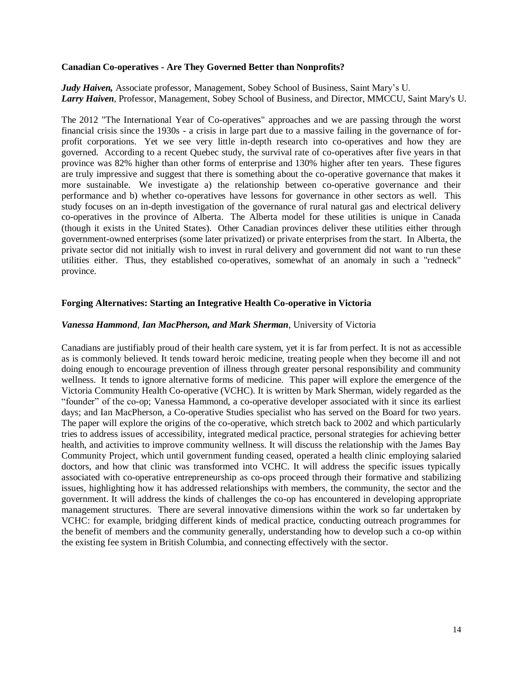#### **Canadian Co-operatives - Are They Governed Better than Nonprofits?**

*Judy Haiven,* Associate professor, Management, Sobey School of Business, Saint Mary's U. *Larry Haiven*, Professor, Management, Sobey School of Business, and Director, MMCCU, Saint Mary's U.

The 2012 "The International Year of Co-operatives" approaches and we are passing through the worst financial crisis since the 1930s - a crisis in large part due to a massive failing in the governance of forprofit corporations. Yet we see very little in-depth research into co-operatives and how they are governed. According to a recent Quebec study, the survival rate of co-operatives after five years in that province was 82% higher than other forms of enterprise and 130% higher after ten years. These figures are truly impressive and suggest that there is something about the co-operative governance that makes it more sustainable. We investigate a) the relationship between co-operative governance and their performance and b) whether co-operatives have lessons for governance in other sectors as well. This study focuses on an in-depth investigation of the governance of rural natural gas and electrical delivery co-operatives in the province of Alberta. The Alberta model for these utilities is unique in Canada (though it exists in the United States). Other Canadian provinces deliver these utilities either through government-owned enterprises (some later privatized) or private enterprises from the start. In Alberta, the private sector did not initially wish to invest in rural delivery and government did not want to run these utilities either. Thus, they established co-operatives, somewhat of an anomaly in such a "redneck" province.

#### **Forging Alternatives: Starting an Integrative Health Co-operative in Victoria**

#### *Vanessa Hammond*, *Ian MacPherson, and Mark Sherman*, University of Victoria

Canadians are justifiably proud of their health care system, yet it is far from perfect. It is not as accessible as is commonly believed. It tends toward heroic medicine, treating people when they become ill and not doing enough to encourage prevention of illness through greater personal responsibility and community wellness. It tends to ignore alternative forms of medicine. This paper will explore the emergence of the Victoria Community Health Co-operative (VCHC). It is written by Mark Sherman, widely regarded as the "founder" of the co-op; Vanessa Hammond, a co-operative developer associated with it since its earliest days; and Ian MacPherson, a Co-operative Studies specialist who has served on the Board for two years. The paper will explore the origins of the co-operative, which stretch back to 2002 and which particularly tries to address issues of accessibility, integrated medical practice, personal strategies for achieving better health, and activities to improve community wellness. It will discuss the relationship with the James Bay Community Project, which until government funding ceased, operated a health clinic employing salaried doctors, and how that clinic was transformed into VCHC. It will address the specific issues typically associated with co-operative entrepreneurship as co-ops proceed through their formative and stabilizing issues, highlighting how it has addressed relationships with members, the community, the sector and the government. It will address the kinds of challenges the co-op has encountered in developing appropriate management structures. There are several innovative dimensions within the work so far undertaken by VCHC: for example, bridging different kinds of medical practice, conducting outreach programmes for the benefit of members and the community generally, understanding how to develop such a co-op within the existing fee system in British Columbia, and connecting effectively with the sector.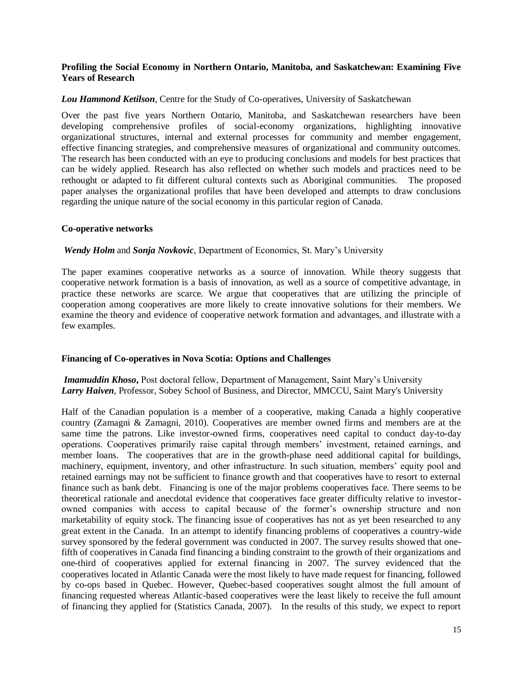#### **Profiling the Social Economy in Northern Ontario, Manitoba, and Saskatchewan: Examining Five Years of Research**

#### *Lou Hammond Ketilson*, Centre for the Study of Co-operatives, University of Saskatchewan

Over the past five years Northern Ontario, Manitoba, and Saskatchewan researchers have been developing comprehensive profiles of social-economy organizations, highlighting innovative organizational structures, internal and external processes for community and member engagement, effective financing strategies, and comprehensive measures of organizational and community outcomes. The research has been conducted with an eye to producing conclusions and models for best practices that can be widely applied. Research has also reflected on whether such models and practices need to be rethought or adapted to fit different cultural contexts such as Aboriginal communities. The proposed paper analyses the organizational profiles that have been developed and attempts to draw conclusions regarding the unique nature of the social economy in this particular region of Canada.

#### **Co-operative networks**

#### *Wendy Holm* and *Sonja Novkovic*, Department of Economics, St. Mary's University

The paper examines cooperative networks as a source of innovation. While theory suggests that cooperative network formation is a basis of innovation, as well as a source of competitive advantage, in practice these networks are scarce. We argue that cooperatives that are utilizing the principle of cooperation among cooperatives are more likely to create innovative solutions for their members. We examine the theory and evidence of cooperative network formation and advantages, and illustrate with a few examples.

#### **Financing of Co-operatives in Nova Scotia: Options and Challenges**

#### *Imamuddin Khoso*, Post doctoral fellow, Department of Management, Saint Mary's University *Larry Haiven*, Professor, Sobey School of Business, and Director, MMCCU, Saint Mary's University

Half of the Canadian population is a member of a cooperative, making Canada a highly cooperative country (Zamagni & Zamagni, 2010). Cooperatives are member owned firms and members are at the same time the patrons. Like investor-owned firms, cooperatives need capital to conduct day-to-day operations. Cooperatives primarily raise capital through members' investment, retained earnings, and member loans. The cooperatives that are in the growth-phase need additional capital for buildings, machinery, equipment, inventory, and other infrastructure. In such situation, members' equity pool and retained earnings may not be sufficient to finance growth and that cooperatives have to resort to external finance such as bank debt. Financing is one of the major problems cooperatives face. There seems to be theoretical rationale and anecdotal evidence that cooperatives face greater difficulty relative to investorowned companies with access to capital because of the former's ownership structure and non marketability of equity stock. The financing issue of cooperatives has not as yet been researched to any great extent in the Canada. In an attempt to identify financing problems of cooperatives a country-wide survey sponsored by the federal government was conducted in 2007. The survey results showed that onefifth of cooperatives in Canada find financing a binding constraint to the growth of their organizations and one-third of cooperatives applied for external financing in 2007. The survey evidenced that the cooperatives located in Atlantic Canada were the most likely to have made request for financing, followed by co-ops based in Quebec. However, Quebec-based cooperatives sought almost the full amount of financing requested whereas Atlantic-based cooperatives were the least likely to receive the full amount of financing they applied for (Statistics Canada, 2007). In the results of this study, we expect to report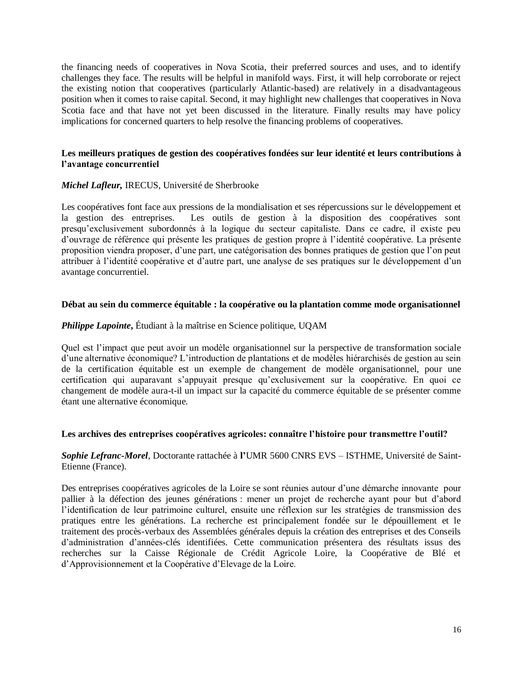the financing needs of cooperatives in Nova Scotia, their preferred sources and uses, and to identify challenges they face. The results will be helpful in manifold ways. First, it will help corroborate or reject the existing notion that cooperatives (particularly Atlantic-based) are relatively in a disadvantageous position when it comes to raise capital. Second, it may highlight new challenges that cooperatives in Nova Scotia face and that have not yet been discussed in the literature. Finally results may have policy implications for concerned quarters to help resolve the financing problems of cooperatives.

#### **Les meilleurs pratiques de gestion des coopératives fondées sur leur identité et leurs contributions à l'avantage concurrentiel**

#### *Michel Lafleur,* IRECUS, Université de Sherbrooke

Les coopératives font face aux pressions de la mondialisation et ses répercussions sur le développement et la gestion des entreprises. Les outils de gestion à la disposition des coopératives sont presqu'exclusivement subordonnés à la logique du secteur capitaliste. Dans ce cadre, il existe peu d'ouvrage de référence qui présente les pratiques de gestion propre à l'identité coopérative. La présente proposition viendra proposer, d'une part, une catégorisation des bonnes pratiques de gestion que l'on peut attribuer à l'identité coopérative et d'autre part, une analyse de ses pratiques sur le développement d'un avantage concurrentiel.

#### **Débat au sein du commerce équitable : la coopérative ou la plantation comme mode organisationnel**

#### *Philippe Lapointe*, Étudiant à la maîtrise en Science politique, UQAM

Quel est l'impact que peut avoir un modèle organisationnel sur la perspective de transformation sociale d'une alternative économique? L'introduction de plantations et de modèles hiérarchisés de gestion au sein de la certification équitable est un exemple de changement de modèle organisationnel, pour une certification qui auparavant s'appuyait presque qu'exclusivement sur la coopérative. En quoi ce changement de modèle aura-t-il un impact sur la capacité du commerce équitable de se présenter comme étant une alternative économique.

#### **Les archives des entreprises coopératives agricoles: connaître l'histoire pour transmettre l'outil?**

#### *Sophie Lefranc-Morel*, Doctorante rattachée à **l'**UMR 5600 CNRS EVS – ISTHME, Université de Saint-Etienne (France).

Des entreprises coopératives agricoles de la Loire se sont réunies autour d'une démarche innovante pour pallier à la défection des jeunes générations : mener un projet de recherche ayant pour but d'abord l'identification de leur patrimoine culturel, ensuite une réflexion sur les stratégies de transmission des pratiques entre les générations. La recherche est principalement fondée sur le dépouillement et le traitement des procès-verbaux des Assemblées générales depuis la création des entreprises et des Conseils d'administration d'années-clés identifiées. Cette communication présentera des résultats issus des recherches sur la Caisse Régionale de Crédit Agricole Loire, la Coopérative de Blé et d'Approvisionnement et la Coopérative d'Elevage de la Loire.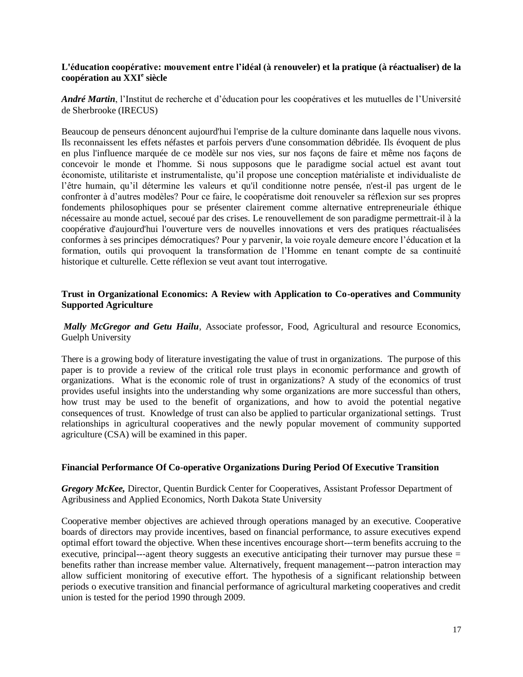#### **L'éducation coopérative: mouvement entre l'idéal (à renouveler) et la pratique (à réactualiser) de la coopération au XXI<sup>e</sup> siècle**

*André Martin*, l'Institut de recherche et d'éducation pour les coopératives et les mutuelles de l'Université de Sherbrooke (IRECUS)

Beaucoup de penseurs dénoncent aujourd'hui l'emprise de la culture dominante dans laquelle nous vivons. Ils reconnaissent les effets néfastes et parfois pervers d'une consommation débridée. Ils évoquent de plus en plus l'influence marquée de ce modèle sur nos vies, sur nos façons de faire et même nos façons de concevoir le monde et l'homme. Si nous supposons que le paradigme social actuel est avant tout économiste, utilitariste et instrumentaliste, qu'il propose une conception matérialiste et individualiste de l'être humain, qu'il détermine les valeurs et qu'il conditionne notre pensée, n'est-il pas urgent de le confronter à d'autres modèles? Pour ce faire, le coopératisme doit renouveler sa réflexion sur ses propres fondements philosophiques pour se présenter clairement comme alternative entrepreneuriale éthique nécessaire au monde actuel, secoué par des crises. Le renouvellement de son paradigme permettrait-il à la coopérative d'aujourd'hui l'ouverture vers de nouvelles innovations et vers des pratiques réactualisées conformes à ses principes démocratiques? Pour y parvenir, la voie royale demeure encore l'éducation et la formation, outils qui provoquent la transformation de l'Homme en tenant compte de sa continuité historique et culturelle. Cette réflexion se veut avant tout interrogative.

#### **Trust in Organizational Economics: A Review with Application to Co-operatives and Community Supported Agriculture**

*Mally McGregor and Getu Hailu*, Associate professor, Food, Agricultural and resource Economics, Guelph University

There is a growing body of literature investigating the value of trust in organizations. The purpose of this paper is to provide a review of the critical role trust plays in economic performance and growth of organizations. What is the economic role of trust in organizations? A study of the economics of trust provides useful insights into the understanding why some organizations are more successful than others, how trust may be used to the benefit of organizations, and how to avoid the potential negative consequences of trust. Knowledge of trust can also be applied to particular organizational settings. Trust relationships in agricultural cooperatives and the newly popular movement of community supported agriculture (CSA) will be examined in this paper.

#### **Financial Performance Of Co-operative Organizations During Period Of Executive Transition**

*Gregory McKee,* Director, Quentin Burdick Center for Cooperatives, Assistant Professor Department of Agribusiness and Applied Economics, North Dakota State University

Cooperative member objectives are achieved through operations managed by an executive. Cooperative boards of directors may provide incentives, based on financial performance, to assure executives expend optimal effort toward the objective. When these incentives encourage short--‐term benefits accruing to the executive, principal---agent theory suggests an executive anticipating their turnover may pursue these  $=$ benefits rather than increase member value. Alternatively, frequent management---patron interaction may allow sufficient monitoring of executive effort. The hypothesis of a significant relationship between periods o executive transition and financial performance of agricultural marketing cooperatives and credit union is tested for the period 1990 through 2009.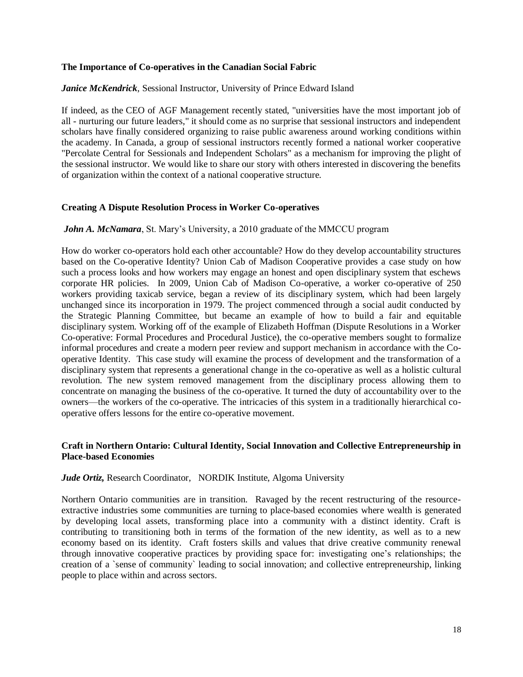#### **The Importance of Co-operatives in the Canadian Social Fabric**

#### *Janice McKendrick*, Sessional Instructor, University of Prince Edward Island

If indeed, as the CEO of AGF Management recently stated, "universities have the most important job of all - nurturing our future leaders," it should come as no surprise that sessional instructors and independent scholars have finally considered organizing to raise public awareness around working conditions within the academy. In Canada, a group of sessional instructors recently formed a national worker cooperative "Percolate Central for Sessionals and Independent Scholars" as a mechanism for improving the plight of the sessional instructor. We would like to share our story with others interested in discovering the benefits of organization within the context of a national cooperative structure.

#### **Creating A Dispute Resolution Process in Worker Co-operatives**

#### *John A. McNamara*, St. Mary's University, a 2010 graduate of the MMCCU program

How do worker co-operators hold each other accountable? How do they develop accountability structures based on the Co-operative Identity? Union Cab of Madison Cooperative provides a case study on how such a process looks and how workers may engage an honest and open disciplinary system that eschews corporate HR policies. In 2009, Union Cab of Madison Co-operative, a worker co-operative of 250 workers providing taxicab service, began a review of its disciplinary system, which had been largely unchanged since its incorporation in 1979. The project commenced through a social audit conducted by the Strategic Planning Committee, but became an example of how to build a fair and equitable disciplinary system. Working off of the example of Elizabeth Hoffman (Dispute Resolutions in a Worker Co-operative: Formal Procedures and Procedural Justice), the co-operative members sought to formalize informal procedures and create a modern peer review and support mechanism in accordance with the Cooperative Identity. This case study will examine the process of development and the transformation of a disciplinary system that represents a generational change in the co-operative as well as a holistic cultural revolution. The new system removed management from the disciplinary process allowing them to concentrate on managing the business of the co-operative. It turned the duty of accountability over to the owners—the workers of the co-operative. The intricacies of this system in a traditionally hierarchical cooperative offers lessons for the entire co-operative movement.

#### **Craft in Northern Ontario: Cultural Identity, Social Innovation and Collective Entrepreneurship in Place-based Economies**

#### *Jude Ortiz,* Research Coordinator, NORDIK Institute, Algoma University

Northern Ontario communities are in transition. Ravaged by the recent restructuring of the resourceextractive industries some communities are turning to place-based economies where wealth is generated by developing local assets, transforming place into a community with a distinct identity. Craft is contributing to transitioning both in terms of the formation of the new identity, as well as to a new economy based on its identity. Craft fosters skills and values that drive creative community renewal through innovative cooperative practices by providing space for: investigating one's relationships; the creation of a `sense of community` leading to social innovation; and collective entrepreneurship, linking people to place within and across sectors.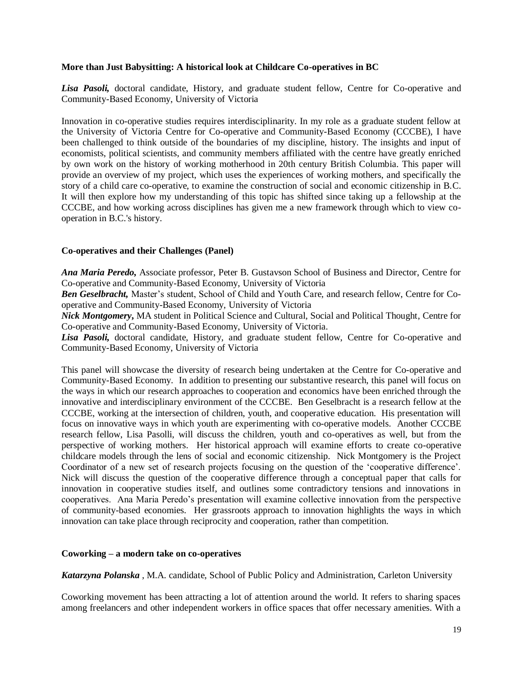#### **More than Just Babysitting: A historical look at Childcare Co-operatives in BC**

Lisa Pasoli, doctoral candidate, History, and graduate student fellow, Centre for Co-operative and Community-Based Economy, University of Victoria

Innovation in co-operative studies requires interdisciplinarity. In my role as a graduate student fellow at the University of Victoria Centre for Co-operative and Community-Based Economy (CCCBE), I have been challenged to think outside of the boundaries of my discipline, history. The insights and input of economists, political scientists, and community members affiliated with the centre have greatly enriched by own work on the history of working motherhood in 20th century British Columbia. This paper will provide an overview of my project, which uses the experiences of working mothers, and specifically the story of a child care co-operative, to examine the construction of social and economic citizenship in B.C. It will then explore how my understanding of this topic has shifted since taking up a fellowship at the CCCBE, and how working across disciplines has given me a new framework through which to view cooperation in B.C.'s history.

#### **Co-operatives and their Challenges (Panel)**

*Ana Maria Peredo,* Associate professor, Peter B. Gustavson School of Business and Director, Centre for Co-operative and Community-Based Economy, University of Victoria

*Ben Geselbracht,* Master's student, School of Child and Youth Care, and research fellow, Centre for Cooperative and Community-Based Economy, University of Victoria

*Nick Montgomery***,** MA student in Political Science and Cultural, Social and Political Thought, Centre for Co-operative and Community-Based Economy, University of Victoria.

Lisa Pasoli, doctoral candidate, History, and graduate student fellow, Centre for Co-operative and Community-Based Economy, University of Victoria

This panel will showcase the diversity of research being undertaken at the Centre for Co-operative and Community-Based Economy. In addition to presenting our substantive research, this panel will focus on the ways in which our research approaches to cooperation and economics have been enriched through the innovative and interdisciplinary environment of the CCCBE. Ben Geselbracht is a research fellow at the CCCBE, working at the intersection of children, youth, and cooperative education. His presentation will focus on innovative ways in which youth are experimenting with co-operative models. Another CCCBE research fellow, Lisa Pasolli, will discuss the children, youth and co-operatives as well, but from the perspective of working mothers. Her historical approach will examine efforts to create co-operative childcare models through the lens of social and economic citizenship. Nick Montgomery is the Project Coordinator of a new set of research projects focusing on the question of the 'cooperative difference'. Nick will discuss the question of the cooperative difference through a conceptual paper that calls for innovation in cooperative studies itself, and outlines some contradictory tensions and innovations in cooperatives. Ana Maria Peredo's presentation will examine collective innovation from the perspective of community-based economies. Her grassroots approach to innovation highlights the ways in which innovation can take place through reciprocity and cooperation, rather than competition.

#### **Coworking – a modern take on co-operatives**

*Katarzyna Polanska* , M.A. candidate, School of Public Policy and Administration, Carleton University

Coworking movement has been attracting a lot of attention around the world. It refers to sharing spaces among freelancers and other independent workers in office spaces that offer necessary amenities. With a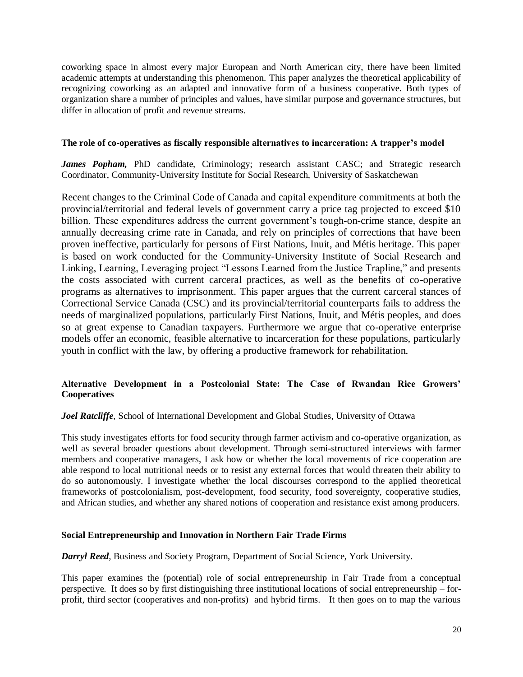coworking space in almost every major European and North American city, there have been limited academic attempts at understanding this phenomenon. This paper analyzes the theoretical applicability of recognizing coworking as an adapted and innovative form of a business cooperative. Both types of organization share a number of principles and values, have similar purpose and governance structures, but differ in allocation of profit and revenue streams.

#### **The role of co-operatives as fiscally responsible alternatives to incarceration: A trapper's model**

*James Popham*, PhD candidate, Criminology; research assistant CASC; and Strategic research Coordinator, Community-University Institute for Social Research, University of Saskatchewan

Recent changes to the Criminal Code of Canada and capital expenditure commitments at both the provincial/territorial and federal levels of government carry a price tag projected to exceed \$10 billion. These expenditures address the current government's tough-on-crime stance, despite an annually decreasing crime rate in Canada, and rely on principles of corrections that have been proven ineffective, particularly for persons of First Nations, Inuit, and Métis heritage. This paper is based on work conducted for the Community-University Institute of Social Research and Linking, Learning, Leveraging project "Lessons Learned from the Justice Trapline," and presents the costs associated with current carceral practices, as well as the benefits of co-operative programs as alternatives to imprisonment. This paper argues that the current carceral stances of Correctional Service Canada (CSC) and its provincial/territorial counterparts fails to address the needs of marginalized populations, particularly First Nations, Inuit, and Métis peoples, and does so at great expense to Canadian taxpayers. Furthermore we argue that co-operative enterprise models offer an economic, feasible alternative to incarceration for these populations, particularly youth in conflict with the law, by offering a productive framework for rehabilitation.

## **Alternative Development in a Postcolonial State: The Case of Rwandan Rice Growers' Cooperatives**

#### *Joel Ratcliffe*, School of International Development and Global Studies, University of Ottawa

This study investigates efforts for food security through farmer activism and co-operative organization, as well as several broader questions about development. Through semi-structured interviews with farmer members and cooperative managers, I ask how or whether the local movements of rice cooperation are able respond to local nutritional needs or to resist any external forces that would threaten their ability to do so autonomously. I investigate whether the local discourses correspond to the applied theoretical frameworks of postcolonialism, post-development, food security, food sovereignty, cooperative studies, and African studies, and whether any shared notions of cooperation and resistance exist among producers.

#### **Social Entrepreneurship and Innovation in Northern Fair Trade Firms**

*Darryl Reed*, Business and Society Program, Department of Social Science, York University.

This paper examines the (potential) role of social entrepreneurship in Fair Trade from a conceptual perspective. It does so by first distinguishing three institutional locations of social entrepreneurship – forprofit, third sector (cooperatives and non-profits) and hybrid firms. It then goes on to map the various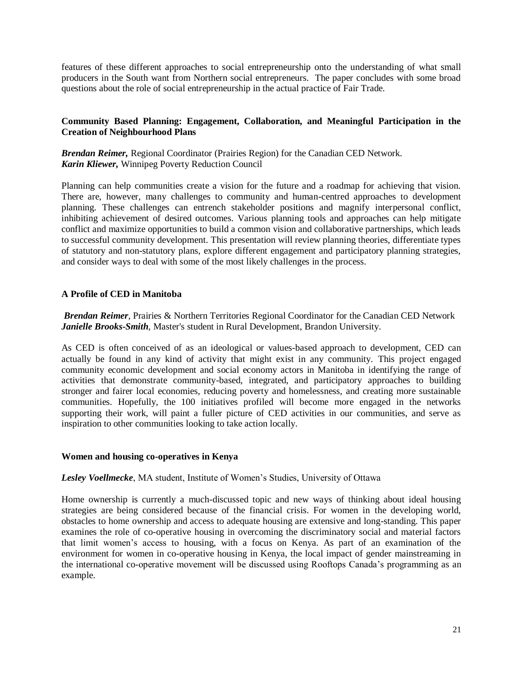features of these different approaches to social entrepreneurship onto the understanding of what small producers in the South want from Northern social entrepreneurs. The paper concludes with some broad questions about the role of social entrepreneurship in the actual practice of Fair Trade.

#### **Community Based Planning: Engagement, Collaboration, and Meaningful Participation in the Creation of Neighbourhood Plans**

*Brendan Reimer,* Regional Coordinator (Prairies Region) for the Canadian CED Network. *Karin Kliewer,* Winnipeg Poverty Reduction Council

Planning can help communities create a vision for the future and a roadmap for achieving that vision. There are, however, many challenges to community and human-centred approaches to development planning. These challenges can entrench stakeholder positions and magnify interpersonal conflict, inhibiting achievement of desired outcomes. Various planning tools and approaches can help mitigate conflict and maximize opportunities to build a common vision and collaborative partnerships, which leads to successful community development. This presentation will review planning theories, differentiate types of statutory and non-statutory plans, explore different engagement and participatory planning strategies, and consider ways to deal with some of the most likely challenges in the process.

#### **A Profile of CED in Manitoba**

*Brendan Reimer*, Prairies & Northern Territories Regional Coordinator for the Canadian CED Network *Janielle Brooks-Smith*, Master's student in Rural Development, Brandon University.

As CED is often conceived of as an ideological or values-based approach to development, CED can actually be found in any kind of activity that might exist in any community. This project engaged community economic development and social economy actors in Manitoba in identifying the range of activities that demonstrate community-based, integrated, and participatory approaches to building stronger and fairer local economies, reducing poverty and homelessness, and creating more sustainable communities. Hopefully, the 100 initiatives profiled will become more engaged in the networks supporting their work, will paint a fuller picture of CED activities in our communities, and serve as inspiration to other communities looking to take action locally.

#### **Women and housing co-operatives in Kenya**

*Lesley Voellmecke*, MA student, Institute of Women's Studies, University of Ottawa

Home ownership is currently a much-discussed topic and new ways of thinking about ideal housing strategies are being considered because of the financial crisis. For women in the developing world, obstacles to home ownership and access to adequate housing are extensive and long-standing. This paper examines the role of co-operative housing in overcoming the discriminatory social and material factors that limit women's access to housing, with a focus on Kenya. As part of an examination of the environment for women in co-operative housing in Kenya, the local impact of gender mainstreaming in the international co-operative movement will be discussed using Rooftops Canada's programming as an example.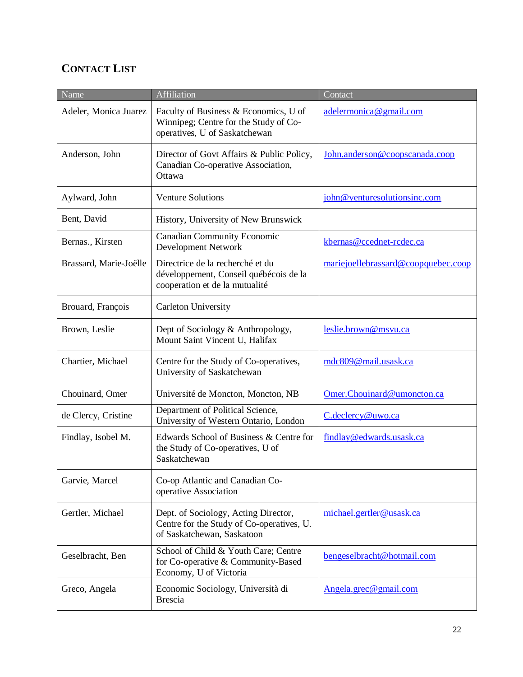# **CONTACT LIST**

| Name                   | <b>Affiliation</b>                                                                                              | Contact                             |
|------------------------|-----------------------------------------------------------------------------------------------------------------|-------------------------------------|
| Adeler, Monica Juarez  | Faculty of Business & Economics, U of<br>Winnipeg; Centre for the Study of Co-<br>operatives, U of Saskatchewan | adelermonica@gmail.com              |
| Anderson, John         | Director of Govt Affairs & Public Policy,<br>Canadian Co-operative Association,<br>Ottawa                       | John.anderson@coopscanada.coop      |
| Aylward, John          | <b>Venture Solutions</b>                                                                                        | john@venturesolutionsinc.com        |
| Bent, David            | History, University of New Brunswick                                                                            |                                     |
| Bernas., Kirsten       | <b>Canadian Community Economic</b><br>Development Network                                                       | kbernas@ccednet-rcdec.ca            |
| Brassard, Marie-Joëlle | Directrice de la recherché et du<br>développement, Conseil québécois de la<br>cooperation et de la mutualité    | mariejoellebrassard@coopquebec.coop |
| Brouard, François      | <b>Carleton University</b>                                                                                      |                                     |
| Brown, Leslie          | Dept of Sociology & Anthropology,<br>Mount Saint Vincent U, Halifax                                             | leslie.brown@msvu.ca                |
| Chartier, Michael      | Centre for the Study of Co-operatives,<br>University of Saskatchewan                                            | mdc809@mail.usask.ca                |
| Chouinard, Omer        | Université de Moncton, Moncton, NB                                                                              | Omer.Chouinard@umoncton.ca          |
| de Clercy, Cristine    | Department of Political Science,<br>University of Western Ontario, London                                       | C.declercy@uwo.ca                   |
| Findlay, Isobel M.     | Edwards School of Business & Centre for<br>the Study of Co-operatives, U of<br>Saskatchewan                     | findlay@edwards.usask.ca            |
| Garvie, Marcel         | Co-op Atlantic and Canadian Co-<br>operative Association                                                        |                                     |
| Gertler, Michael       | Dept. of Sociology, Acting Director,<br>Centre for the Study of Co-operatives, U.<br>of Saskatchewan, Saskatoon | michael.gertler@usask.ca            |
| Geselbracht, Ben       | School of Child & Youth Care; Centre<br>for Co-operative & Community-Based<br>Economy, U of Victoria            | bengeselbracht@hotmail.com          |
| Greco, Angela          | Economic Sociology, Università di<br><b>Brescia</b>                                                             | Angela.grec@gmail.com               |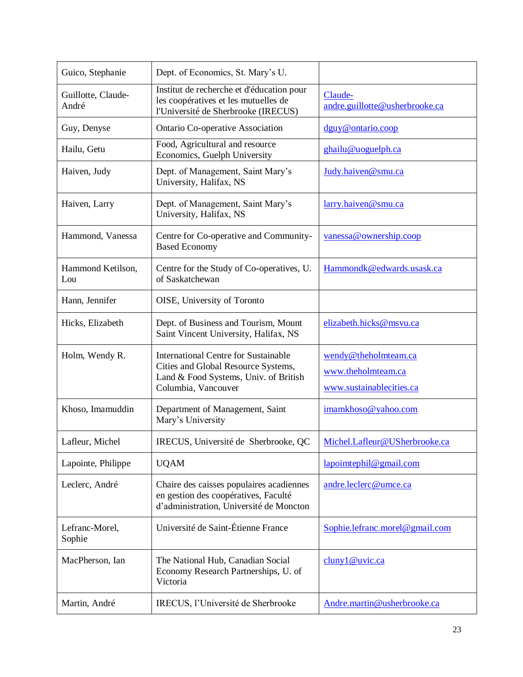| Guico, Stephanie            | Dept. of Economics, St. Mary's U.                                                                                                                  |                                                                        |
|-----------------------------|----------------------------------------------------------------------------------------------------------------------------------------------------|------------------------------------------------------------------------|
| Guillotte, Claude-<br>André | Institut de recherche et d'éducation pour<br>les coopératives et les mutuelles de<br>l'Université de Sherbrooke (IRECUS)                           | Claude-<br>andre.guillotte@usherbrooke.ca                              |
| Guy, Denyse                 | Ontario Co-operative Association                                                                                                                   | dguy@ontario.coop                                                      |
| Hailu, Getu                 | Food, Agricultural and resource<br>Economics, Guelph University                                                                                    | ghailu@uoguelph.ca                                                     |
| Haiven, Judy                | Dept. of Management, Saint Mary's<br>University, Halifax, NS                                                                                       | Judy.haiven@smu.ca                                                     |
| Haiven, Larry               | Dept. of Management, Saint Mary's<br>University, Halifax, NS                                                                                       | larry.haiven@smu.ca                                                    |
| Hammond, Vanessa            | Centre for Co-operative and Community-<br><b>Based Economy</b>                                                                                     | vanessa@ownership.coop                                                 |
| Hammond Ketilson,<br>Lou    | Centre for the Study of Co-operatives, U.<br>of Saskatchewan                                                                                       | Hammondk@edwards.usask.ca                                              |
| Hann, Jennifer              | OISE, University of Toronto                                                                                                                        |                                                                        |
| Hicks, Elizabeth            | Dept. of Business and Tourism, Mount<br>Saint Vincent University, Halifax, NS                                                                      | elizabeth.hicks@msvu.ca                                                |
| Holm, Wendy R.              | <b>International Centre for Sustainable</b><br>Cities and Global Resource Systems,<br>Land & Food Systems, Univ. of British<br>Columbia, Vancouver | wendy@theholmteam.ca<br>www.theholmteam.ca<br>www.sustainablecities.ca |
| Khoso, Imamuddin            | Department of Management, Saint<br>Mary's University                                                                                               | imamkhoso@yahoo.com                                                    |
| Lafleur, Michel             | IRECUS, Université de Sherbrooke, QC                                                                                                               | Michel.Lafleur@USherbrooke.ca                                          |
| Lapointe, Philippe          | <b>UQAM</b>                                                                                                                                        | $l$ apoimtephil@gmail.com                                              |
| Leclerc, André              | Chaire des caisses populaires acadiennes<br>en gestion des coopératives, Faculté<br>d'administration, Université de Moncton                        | andre.leclerc@umce.ca                                                  |
| Lefranc-Morel,<br>Sophie    | Université de Saint-Étienne France                                                                                                                 | Sophie.lefranc.morel@gmail.com                                         |
| MacPherson, Ian             | The National Hub, Canadian Social<br>Economy Research Partnerships, U. of<br>Victoria                                                              | cluny1@uvic.ca                                                         |
| Martin, André               | IRECUS, l'Université de Sherbrooke                                                                                                                 | Andre.martin@usherbrooke.ca                                            |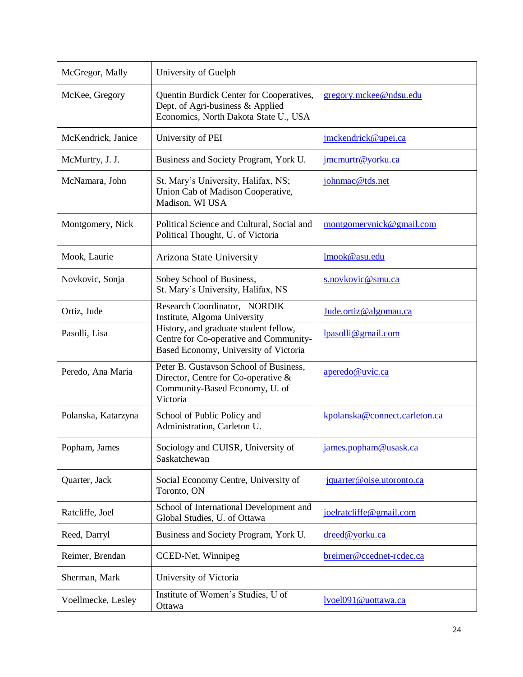| McGregor, Mally     | University of Guelph                                                                                                        |                               |
|---------------------|-----------------------------------------------------------------------------------------------------------------------------|-------------------------------|
| McKee, Gregory      | Quentin Burdick Center for Cooperatives,<br>Dept. of Agri-business & Applied<br>Economics, North Dakota State U., USA       | gregory.mckee@ndsu.edu        |
| McKendrick, Janice  | University of PEI                                                                                                           | jmckendrick@upei.ca           |
| McMurtry, J. J.     | Business and Society Program, York U.                                                                                       | jmcmurtr@yorku.ca             |
| McNamara, John      | St. Mary's University, Halifax, NS;<br>Union Cab of Madison Cooperative,<br>Madison, WI USA                                 | johnmac@tds.net               |
| Montgomery, Nick    | Political Science and Cultural, Social and<br>Political Thought, U. of Victoria                                             | montgomerynick@gmail.com      |
| Mook, Laurie        | Arizona State University                                                                                                    | lmook@asu.edu                 |
| Novkovic, Sonja     | Sobey School of Business,<br>St. Mary's University, Halifax, NS                                                             | s.novkovic@smu.ca             |
| Ortiz, Jude         | Research Coordinator, NORDIK<br>Institute, Algoma University                                                                | Jude.ortiz@algomau.ca         |
| Pasolli, Lisa       | History, and graduate student fellow,<br>Centre for Co-operative and Community-<br>Based Economy, University of Victoria    | $l$ pasolli@gmail.com         |
| Peredo, Ana Maria   | Peter B. Gustavson School of Business,<br>Director, Centre for Co-operative &<br>Community-Based Economy, U. of<br>Victoria | aperedo@uvic.ca               |
| Polanska, Katarzyna | School of Public Policy and<br>Administration, Carleton U.                                                                  | kpolanska@connect.carleton.ca |
| Popham, James       | Sociology and CUISR, University of<br>Saskatchewan                                                                          | james.popham@usask.ca         |
| Quarter, Jack       | Social Economy Centre, University of<br>Toronto, ON                                                                         | jquarter@oise.utoronto.ca     |
| Ratcliffe, Joel     | School of International Development and<br>Global Studies, U. of Ottawa                                                     | joelratcliffe@gmail.com       |
| Reed, Darryl        | Business and Society Program, York U.                                                                                       | dreed@yorku.ca                |
| Reimer, Brendan     | CCED-Net, Winnipeg                                                                                                          | breimer@ccednet-rcdec.ca      |
| Sherman, Mark       | University of Victoria                                                                                                      |                               |
| Voellmecke, Lesley  | Institute of Women's Studies, U of<br>Ottawa                                                                                | lvoel091@uottawa.ca           |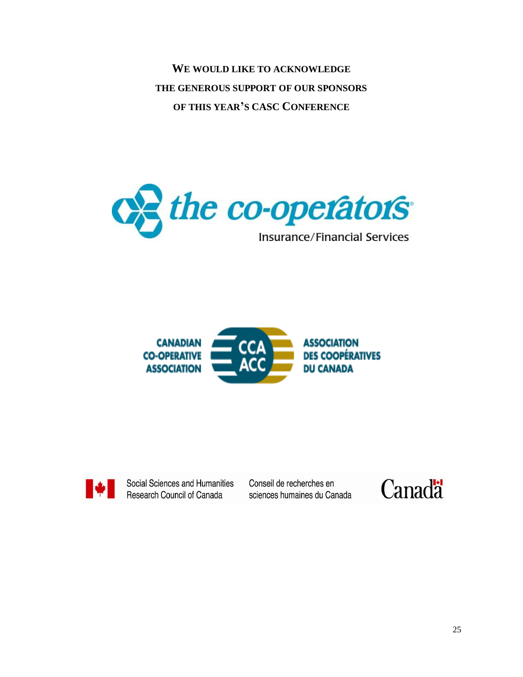**WE WOULD LIKE TO ACKNOWLEDGE THE GENEROUS SUPPORT OF OUR SPONSORS OF THIS YEAR'S CASC CONFERENCE**







Social Sciences and Humanities Research Council of Canada

Conseil de recherches en sciences humaines du Canada